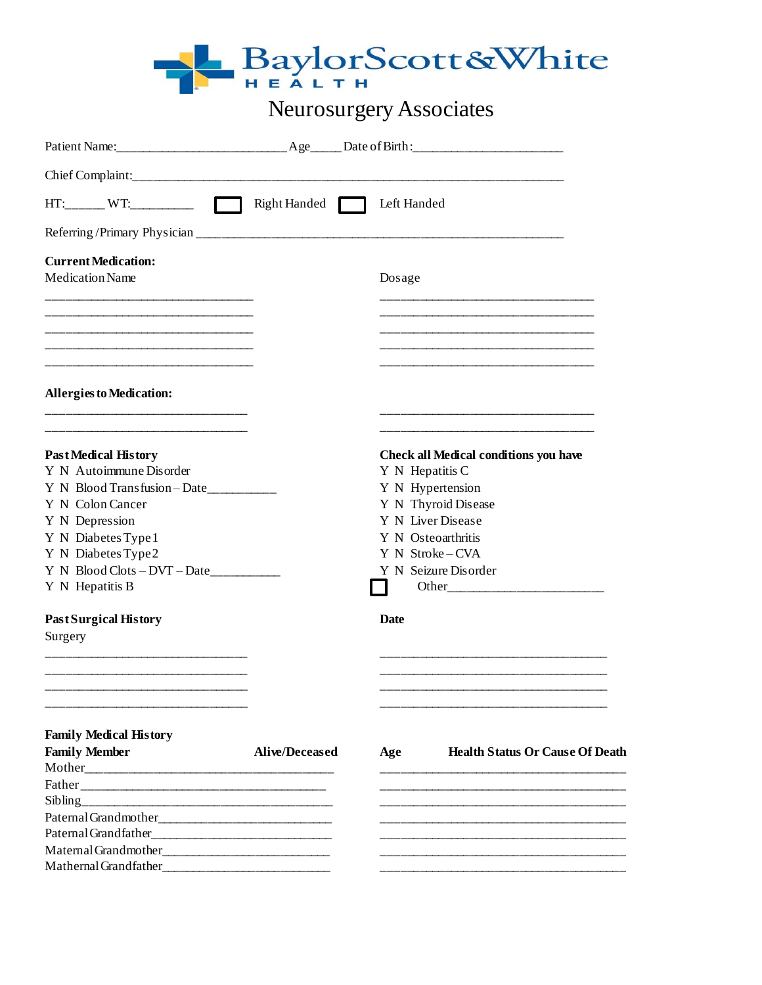

# Neurosurgery Associates

| $HT:$ WT:<br>$\Box$                                                                                                                                                                                                              |                       | Right Handed Left Handed                                                                                                                                                                        |  |
|----------------------------------------------------------------------------------------------------------------------------------------------------------------------------------------------------------------------------------|-----------------------|-------------------------------------------------------------------------------------------------------------------------------------------------------------------------------------------------|--|
|                                                                                                                                                                                                                                  |                       |                                                                                                                                                                                                 |  |
| <b>Current Medication:</b><br><b>Medication Name</b>                                                                                                                                                                             |                       | Dosage                                                                                                                                                                                          |  |
|                                                                                                                                                                                                                                  |                       |                                                                                                                                                                                                 |  |
| <b>Allergies to Medication:</b>                                                                                                                                                                                                  |                       |                                                                                                                                                                                                 |  |
| <b>PastMedical History</b><br>Y N Autoimmune Disorder<br>Y N Blood Transfusion-Date<br>Y N Colon Cancer<br>Y N Depression<br>Y N Diabetes Type 1<br>Y N Diabetes Type 2<br>$Y \ N \ Blood Clots - DVT - Date$<br>Y N Hepatitis B |                       | <b>Check all Medical conditions you have</b><br>Y N Hepatitis C<br>Y N Hypertension<br>Y N Thyroid Disease<br>Y N Liver Disease<br>Y N Osteoarthritis<br>Y N Stroke-CVA<br>Y N Seizure Disorder |  |
| <b>Past Surgical History</b><br>Surgery                                                                                                                                                                                          |                       | <b>Date</b>                                                                                                                                                                                     |  |
| <b>Family Medical History</b><br><b>Family Member</b>                                                                                                                                                                            | <b>Alive/Deceased</b> | <b>Health Status Or Cause Of Death</b><br>Age                                                                                                                                                   |  |
| Mathernal Grandfather                                                                                                                                                                                                            |                       |                                                                                                                                                                                                 |  |